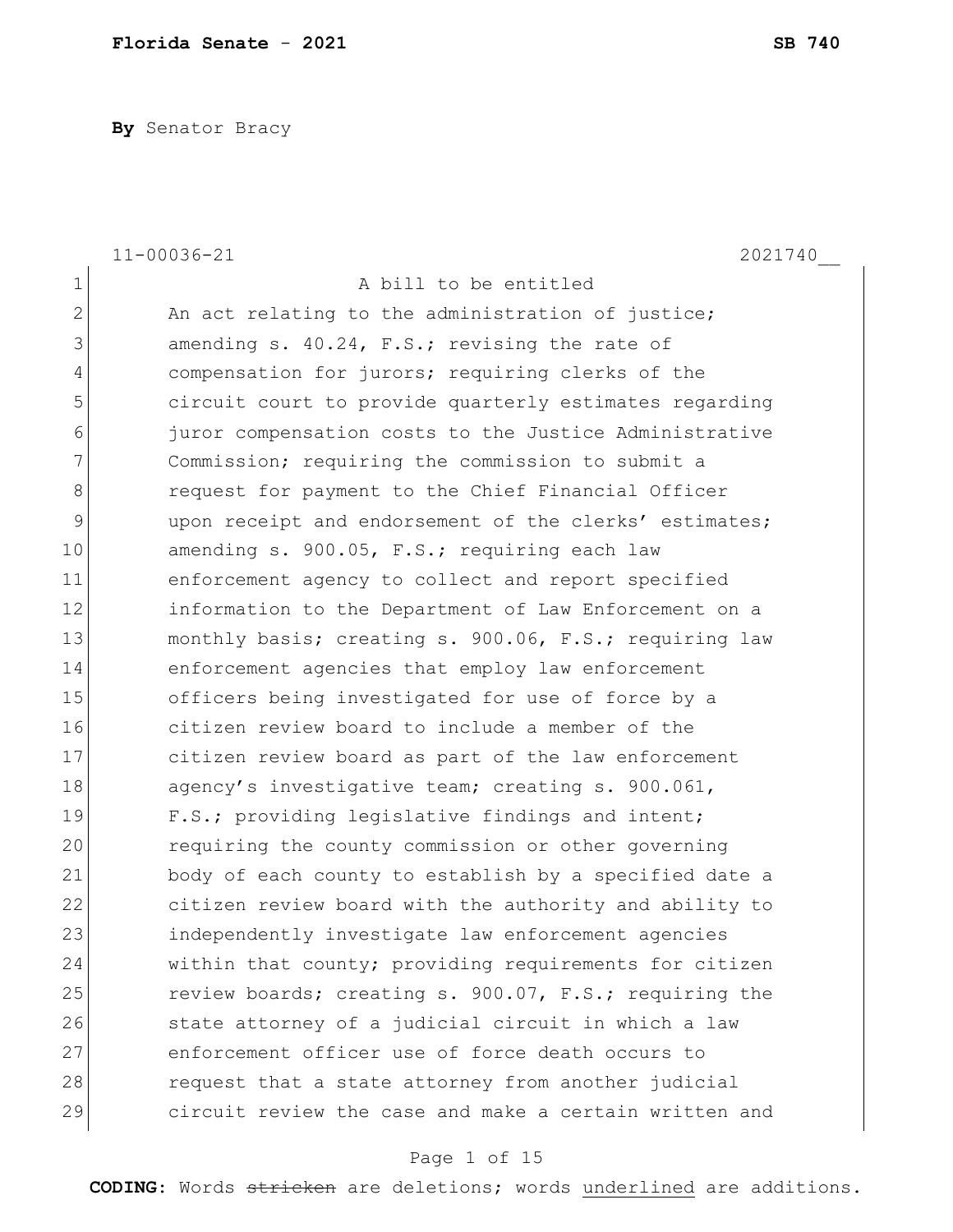**By** Senator Bracy

|                | $11 - 00036 - 21$<br>2021740                           |
|----------------|--------------------------------------------------------|
| $\mathbf 1$    | A bill to be entitled                                  |
| $\overline{2}$ | An act relating to the administration of justice;      |
| 3              | amending s. 40.24, F.S.; revising the rate of          |
| 4              | compensation for jurors; requiring clerks of the       |
| 5              | circuit court to provide quarterly estimates regarding |
| 6              | juror compensation costs to the Justice Administrative |
| 7              | Commission; requiring the commission to submit a       |
| 8              | request for payment to the Chief Financial Officer     |
| $\mathsf 9$    | upon receipt and endorsement of the clerks' estimates; |
| 10             | amending s. 900.05, F.S.; requiring each law           |
| 11             | enforcement agency to collect and report specified     |
| 12             | information to the Department of Law Enforcement on a  |
| 13             | monthly basis; creating s. 900.06, F.S.; requiring law |
| 14             | enforcement agencies that employ law enforcement       |
| 15             | officers being investigated for use of force by a      |
| 16             | citizen review board to include a member of the        |
| 17             | citizen review board as part of the law enforcement    |
| 18             | agency's investigative team; creating s. 900.061,      |
| 19             | F.S.; providing legislative findings and intent;       |
| 20             | requiring the county commission or other governing     |
| 21             | body of each county to establish by a specified date a |
| 22             | citizen review board with the authority and ability to |
| 23             | independently investigate law enforcement agencies     |
| 24             | within that county; providing requirements for citizen |
| 25             | review boards; creating s. 900.07, F.S.; requiring the |
| 26             | state attorney of a judicial circuit in which a law    |
| 27             | enforcement officer use of force death occurs to       |
| 28             | request that a state attorney from another judicial    |
| 29             | circuit review the case and make a certain written and |

# Page 1 of 15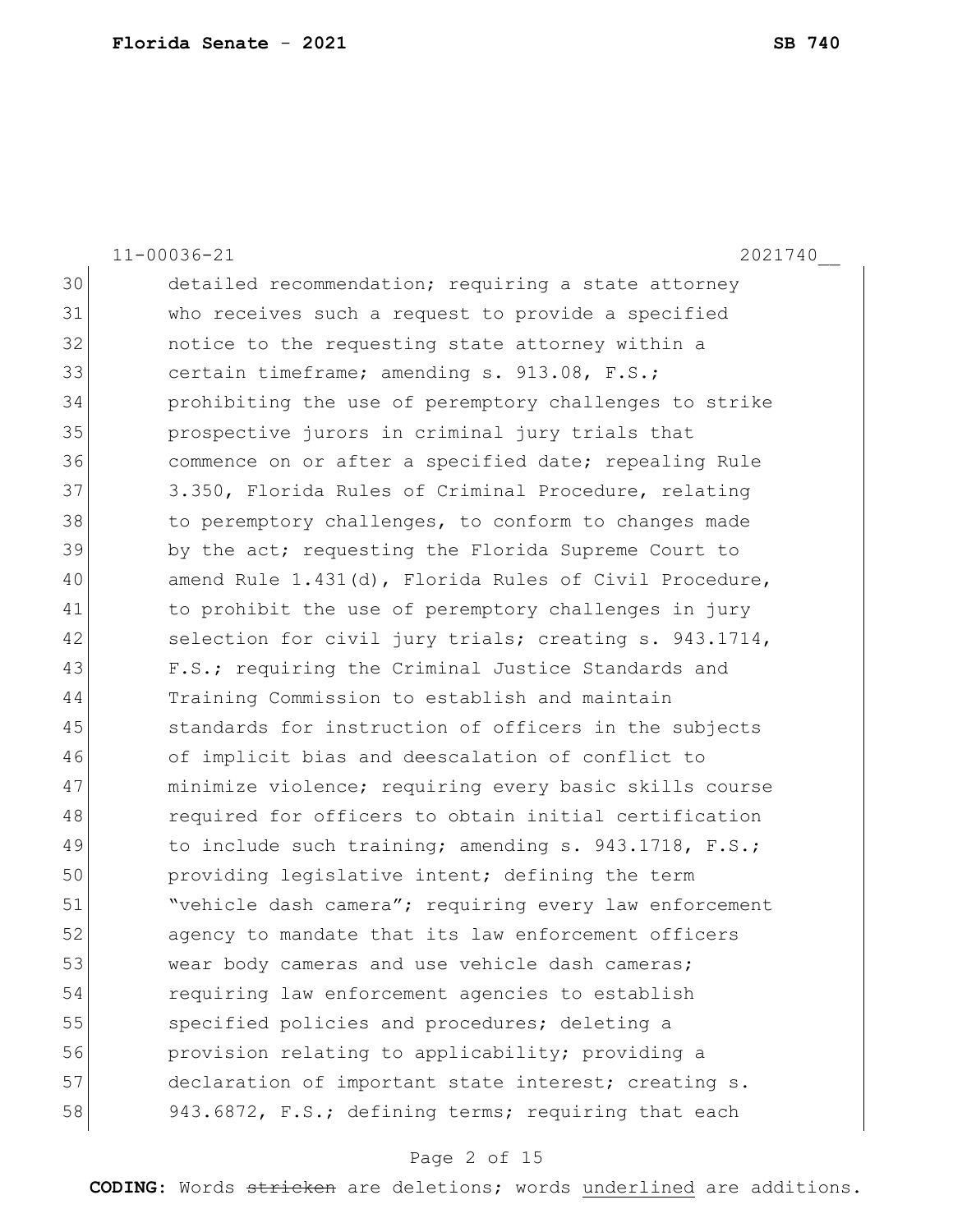|    | $11 - 00036 - 21$<br>2021740                           |
|----|--------------------------------------------------------|
| 30 | detailed recommendation; requiring a state attorney    |
| 31 | who receives such a request to provide a specified     |
| 32 | notice to the requesting state attorney within a       |
| 33 | certain timeframe; amending s. 913.08, F.S.;           |
| 34 | prohibiting the use of peremptory challenges to strike |
| 35 | prospective jurors in criminal jury trials that        |
| 36 | commence on or after a specified date; repealing Rule  |
| 37 | 3.350, Florida Rules of Criminal Procedure, relating   |
| 38 | to peremptory challenges, to conform to changes made   |
| 39 | by the act; requesting the Florida Supreme Court to    |
| 40 | amend Rule 1.431(d), Florida Rules of Civil Procedure, |
| 41 | to prohibit the use of peremptory challenges in jury   |
| 42 | selection for civil jury trials; creating s. 943.1714, |
| 43 | F.S.; requiring the Criminal Justice Standards and     |
| 44 | Training Commission to establish and maintain          |
| 45 | standards for instruction of officers in the subjects  |
| 46 | of implicit bias and deescalation of conflict to       |
| 47 | minimize violence; requiring every basic skills course |
| 48 | required for officers to obtain initial certification  |
| 49 | to include such training; amending s. 943.1718, F.S.;  |
| 50 | providing legislative intent; defining the term        |
| 51 | "vehicle dash camera"; requiring every law enforcement |
| 52 | agency to mandate that its law enforcement officers    |
| 53 | wear body cameras and use vehicle dash cameras;        |
| 54 | requiring law enforcement agencies to establish        |
| 55 | specified policies and procedures; deleting a          |
| 56 | provision relating to applicability; providing a       |
| 57 | declaration of important state interest; creating s.   |
| 58 | 943.6872, F.S.; defining terms; requiring that each    |

# Page 2 of 15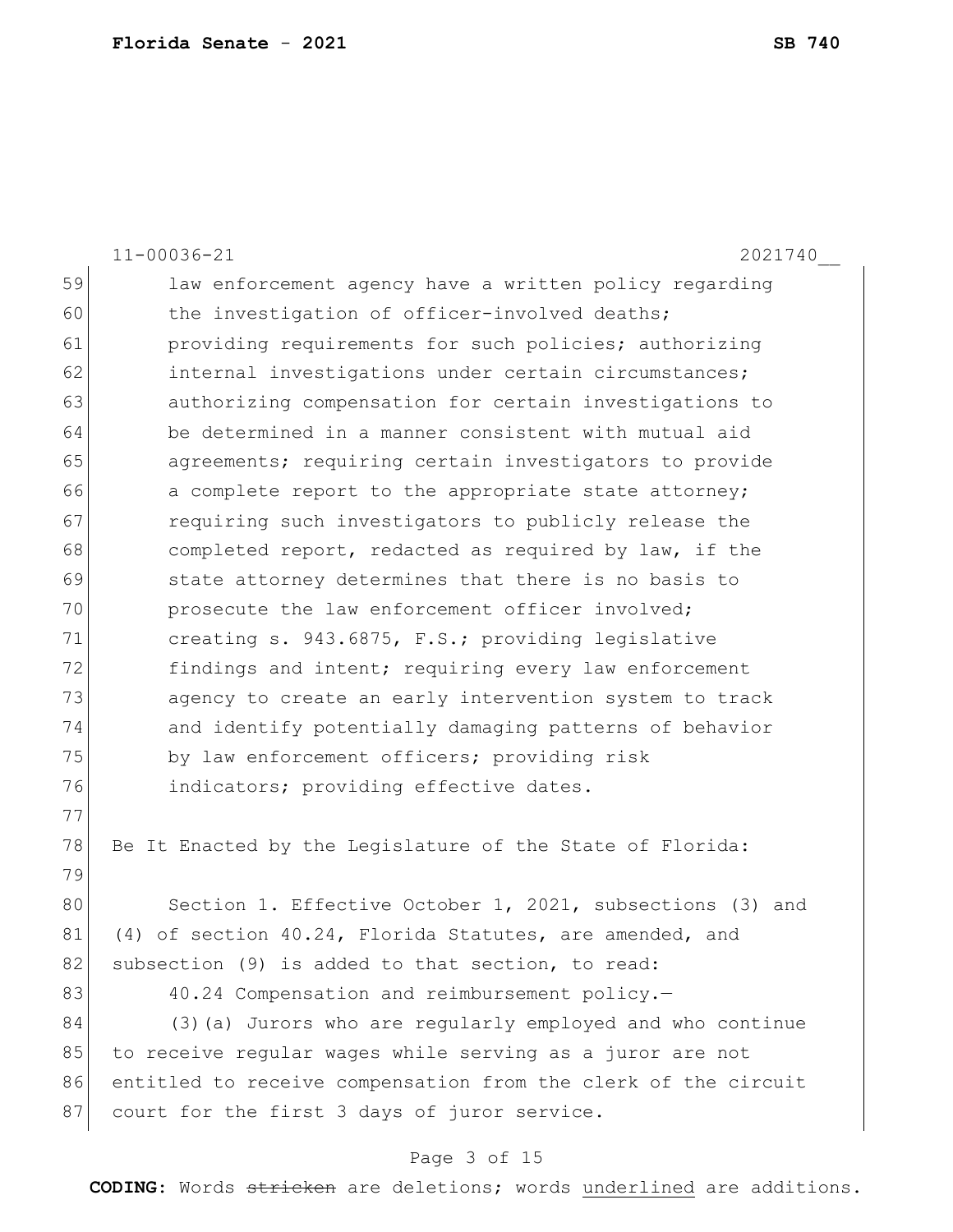|    | $11 - 00036 - 21$<br>2021740                                   |
|----|----------------------------------------------------------------|
| 59 | law enforcement agency have a written policy regarding         |
| 60 | the investigation of officer-involved deaths;                  |
| 61 | providing requirements for such policies; authorizing          |
| 62 | internal investigations under certain circumstances;           |
| 63 | authorizing compensation for certain investigations to         |
| 64 | be determined in a manner consistent with mutual aid           |
| 65 | agreements; requiring certain investigators to provide         |
| 66 | a complete report to the appropriate state attorney;           |
| 67 | requiring such investigators to publicly release the           |
| 68 | completed report, redacted as required by law, if the          |
| 69 | state attorney determines that there is no basis to            |
| 70 | prosecute the law enforcement officer involved;                |
| 71 | creating s. 943.6875, F.S.; providing legislative              |
| 72 | findings and intent; requiring every law enforcement           |
| 73 | agency to create an early intervention system to track         |
| 74 | and identify potentially damaging patterns of behavior         |
| 75 | by law enforcement officers; providing risk                    |
| 76 | indicators; providing effective dates.                         |
| 77 |                                                                |
| 78 | Be It Enacted by the Legislature of the State of Florida:      |
| 79 |                                                                |
| 80 | Section 1. Effective October 1, 2021, subsections (3) and      |
| 81 | (4) of section 40.24, Florida Statutes, are amended, and       |
| 82 | subsection (9) is added to that section, to read:              |
| 83 | 40.24 Compensation and reimbursement policy.-                  |
| 84 | (3) (a) Jurors who are regularly employed and who continue     |
| 85 | to receive reqular wages while serving as a juror are not      |
| 86 | entitled to receive compensation from the clerk of the circuit |
| 87 | court for the first 3 days of juror service.                   |
|    |                                                                |

# Page 3 of 15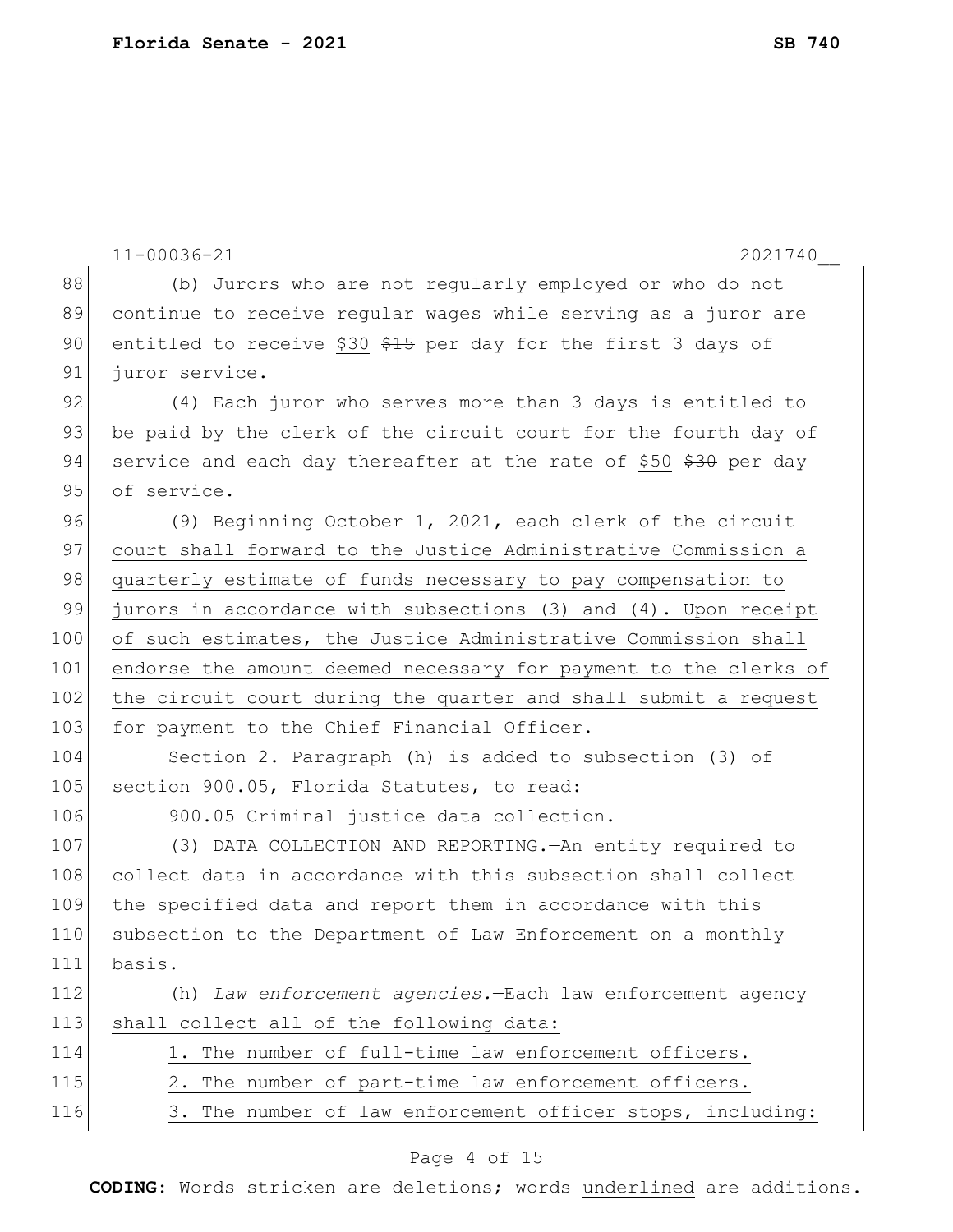|     | $11 - 00036 - 21$<br>2021740                                         |
|-----|----------------------------------------------------------------------|
| 88  | (b) Jurors who are not regularly employed or who do not              |
| 89  | continue to receive regular wages while serving as a juror are       |
| 90  | entitled to receive \$30 \$15 per day for the first 3 days of        |
| 91  | juror service.                                                       |
| 92  | (4) Each juror who serves more than 3 days is entitled to            |
| 93  | be paid by the clerk of the circuit court for the fourth day of      |
| 94  | service and each day thereafter at the rate of \$50 \$30 per day     |
| 95  | of service.                                                          |
| 96  | (9) Beginning October 1, 2021, each clerk of the circuit             |
| 97  | court shall forward to the Justice Administrative Commission a       |
| 98  | quarterly estimate of funds necessary to pay compensation to         |
| 99  | jurors in accordance with subsections $(3)$ and $(4)$ . Upon receipt |
| 100 | of such estimates, the Justice Administrative Commission shall       |
| 101 | endorse the amount deemed necessary for payment to the clerks of     |
| 102 | the circuit court during the quarter and shall submit a request      |
| 103 | for payment to the Chief Financial Officer.                          |
| 104 | Section 2. Paragraph (h) is added to subsection (3) of               |
| 105 | section 900.05, Florida Statutes, to read:                           |
| 106 | 900.05 Criminal justice data collection.-                            |
| 107 | (3) DATA COLLECTION AND REPORTING. An entity required to             |
| 108 | collect data in accordance with this subsection shall collect        |
| 109 | the specified data and report them in accordance with this           |
| 110 | subsection to the Department of Law Enforcement on a monthly         |
| 111 | basis.                                                               |
| 112 | (h) Law enforcement agencies. - Each law enforcement agency          |
| 113 | shall collect all of the following data:                             |
| 114 | 1. The number of full-time law enforcement officers.                 |
| 115 | 2. The number of part-time law enforcement officers.                 |
| 116 | 3. The number of law enforcement officer stops, including:           |
|     | Page 4 of 15                                                         |
|     |                                                                      |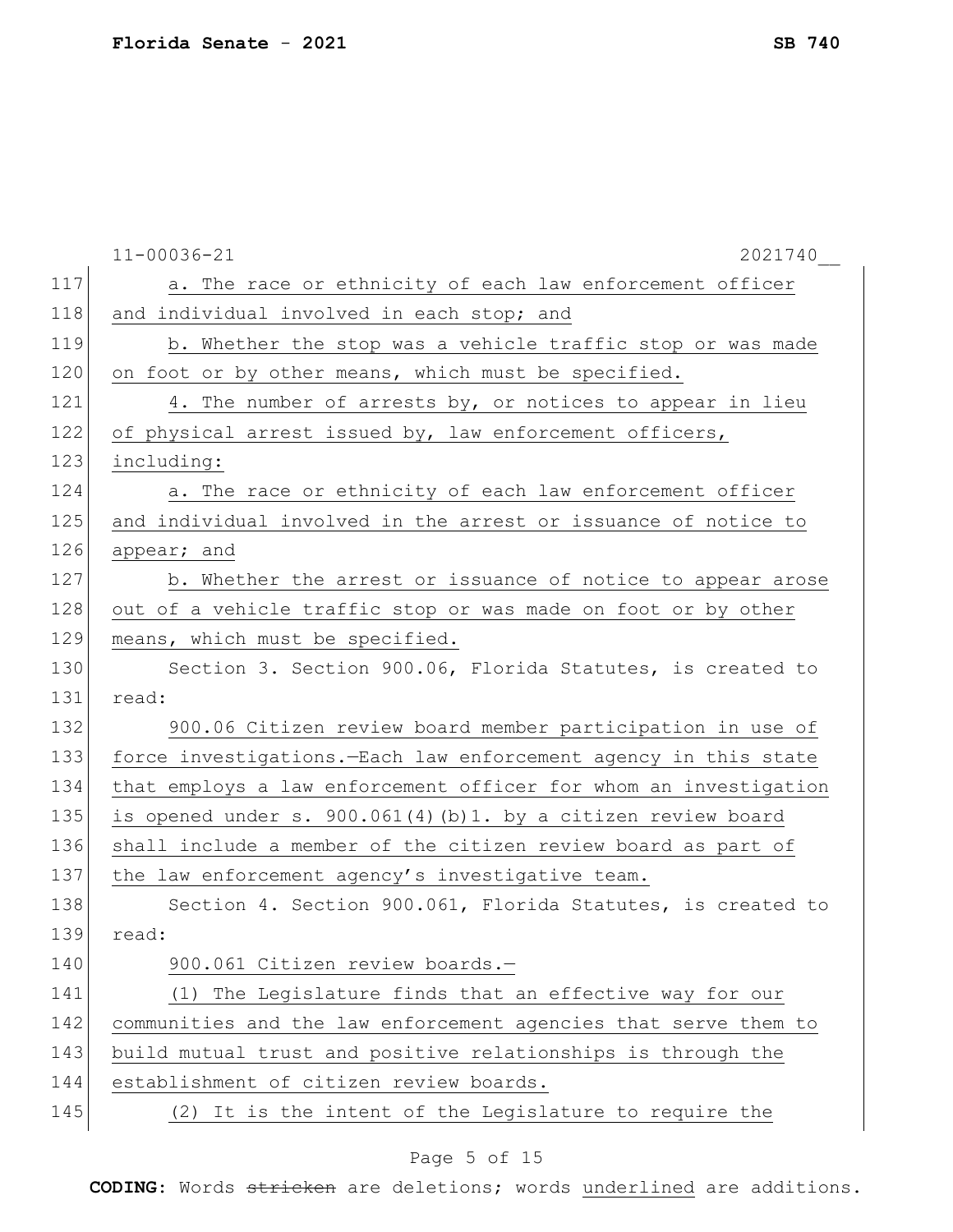|     | $11 - 00036 - 21$<br>2021740                                      |
|-----|-------------------------------------------------------------------|
| 117 | a. The race or ethnicity of each law enforcement officer          |
| 118 | and individual involved in each stop; and                         |
| 119 | b. Whether the stop was a vehicle traffic stop or was made        |
| 120 | on foot or by other means, which must be specified.               |
| 121 | 4. The number of arrests by, or notices to appear in lieu         |
| 122 | of physical arrest issued by, law enforcement officers,           |
| 123 | including:                                                        |
| 124 | a. The race or ethnicity of each law enforcement officer          |
| 125 | and individual involved in the arrest or issuance of notice to    |
| 126 | appear; and                                                       |
| 127 | b. Whether the arrest or issuance of notice to appear arose       |
| 128 | out of a vehicle traffic stop or was made on foot or by other     |
| 129 | means, which must be specified.                                   |
| 130 | Section 3. Section 900.06, Florida Statutes, is created to        |
| 131 | read:                                                             |
| 132 | 900.06 Citizen review board member participation in use of        |
| 133 | force investigations. - Each law enforcement agency in this state |
| 134 | that employs a law enforcement officer for whom an investigation  |
| 135 | is opened under s. 900.061(4)(b)1. by a citizen review board      |
| 136 | shall include a member of the citizen review board as part of     |
| 137 | the law enforcement agency's investigative team.                  |
| 138 | Section 4. Section 900.061, Florida Statutes, is created to       |
| 139 | read:                                                             |
| 140 | 900.061 Citizen review boards.-                                   |
| 141 | (1) The Legislature finds that an effective way for our           |
| 142 | communities and the law enforcement agencies that serve them to   |
| 143 | build mutual trust and positive relationships is through the      |
| 144 | establishment of citizen review boards.                           |
| 145 | It is the intent of the Legislature to require the<br>(2)         |
|     |                                                                   |

# Page 5 of 15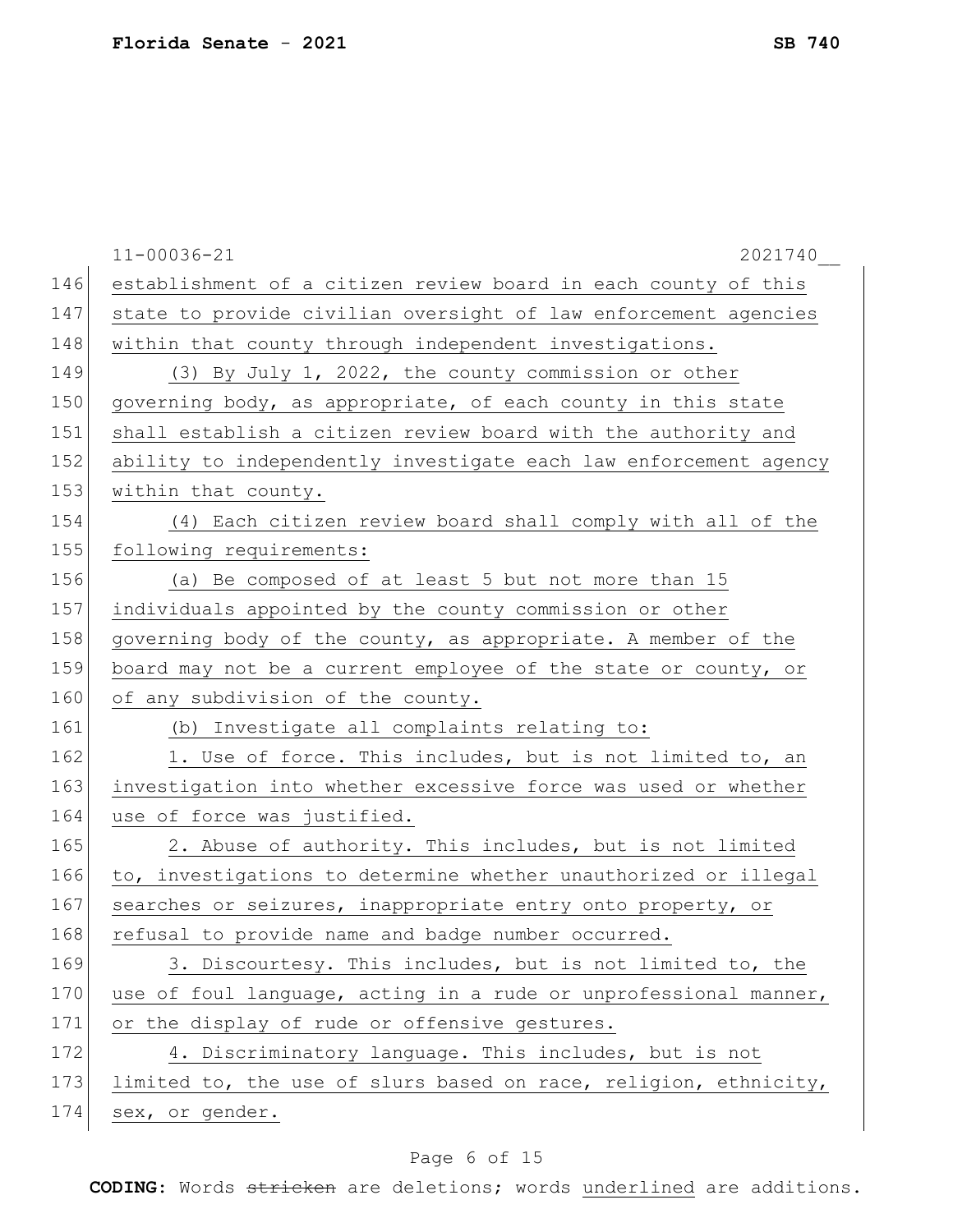|     | $11 - 00036 - 21$<br>2021740                                     |
|-----|------------------------------------------------------------------|
| 146 | establishment of a citizen review board in each county of this   |
| 147 | state to provide civilian oversight of law enforcement agencies  |
| 148 | within that county through independent investigations.           |
| 149 | (3) By July 1, 2022, the county commission or other              |
| 150 | governing body, as appropriate, of each county in this state     |
| 151 | shall establish a citizen review board with the authority and    |
| 152 | ability to independently investigate each law enforcement agency |
| 153 | within that county.                                              |
| 154 | (4) Each citizen review board shall comply with all of the       |
| 155 | following requirements:                                          |
| 156 | (a) Be composed of at least 5 but not more than 15               |
| 157 | individuals appointed by the county commission or other          |
| 158 | governing body of the county, as appropriate. A member of the    |
| 159 | board may not be a current employee of the state or county, or   |
| 160 | of any subdivision of the county.                                |
| 161 | (b) Investigate all complaints relating to:                      |
| 162 | 1. Use of force. This includes, but is not limited to, an        |
| 163 | investigation into whether excessive force was used or whether   |
| 164 | use of force was justified.                                      |
| 165 | 2. Abuse of authority. This includes, but is not limited         |
| 166 | to, investigations to determine whether unauthorized or illegal  |
| 167 | searches or seizures, inappropriate entry onto property, or      |
| 168 | refusal to provide name and badge number occurred.               |
| 169 | 3. Discourtesy. This includes, but is not limited to, the        |
| 170 | use of foul language, acting in a rude or unprofessional manner, |
| 171 | or the display of rude or offensive gestures.                    |
| 172 | 4. Discriminatory language. This includes, but is not            |
| 173 | limited to, the use of slurs based on race, religion, ethnicity, |
| 174 | sex, or gender.                                                  |

# Page 6 of 15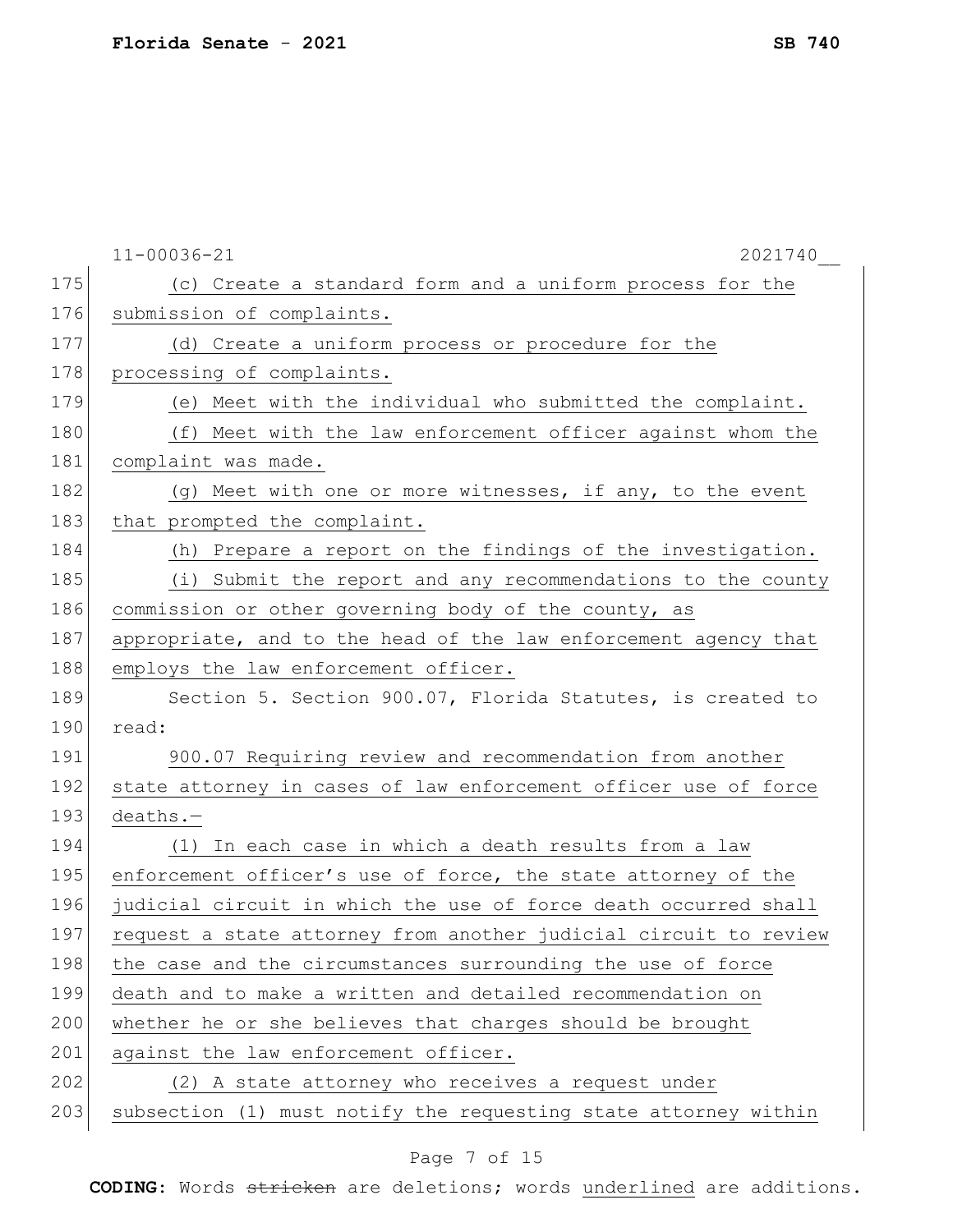|     | $11 - 00036 - 21$<br>2021740                                     |
|-----|------------------------------------------------------------------|
| 175 | (c) Create a standard form and a uniform process for the         |
| 176 | submission of complaints.                                        |
| 177 | (d) Create a uniform process or procedure for the                |
| 178 | processing of complaints.                                        |
| 179 | (e) Meet with the individual who submitted the complaint.        |
| 180 | (f) Meet with the law enforcement officer against whom the       |
| 181 | complaint was made.                                              |
| 182 | (g) Meet with one or more witnesses, if any, to the event        |
| 183 | that prompted the complaint.                                     |
| 184 | (h) Prepare a report on the findings of the investigation.       |
| 185 | (i) Submit the report and any recommendations to the county      |
| 186 | commission or other governing body of the county, as             |
| 187 | appropriate, and to the head of the law enforcement agency that  |
| 188 | employs the law enforcement officer.                             |
| 189 | Section 5. Section 900.07, Florida Statutes, is created to       |
| 190 | read:                                                            |
| 191 | 900.07 Requiring review and recommendation from another          |
| 192 | state attorney in cases of law enforcement officer use of force  |
| 193 | deaths.-                                                         |
| 194 | (1) In each case in which a death results from a law             |
| 195 | enforcement officer's use of force, the state attorney of the    |
| 196 | judicial circuit in which the use of force death occurred shall  |
| 197 | request a state attorney from another judicial circuit to review |
| 198 | the case and the circumstances surrounding the use of force      |
| 199 | death and to make a written and detailed recommendation on       |
| 200 | whether he or she believes that charges should be brought        |
| 201 | against the law enforcement officer.                             |
| 202 | (2) A state attorney who receives a request under                |
| 203 | subsection (1) must notify the requesting state attorney within  |
|     |                                                                  |

# Page 7 of 15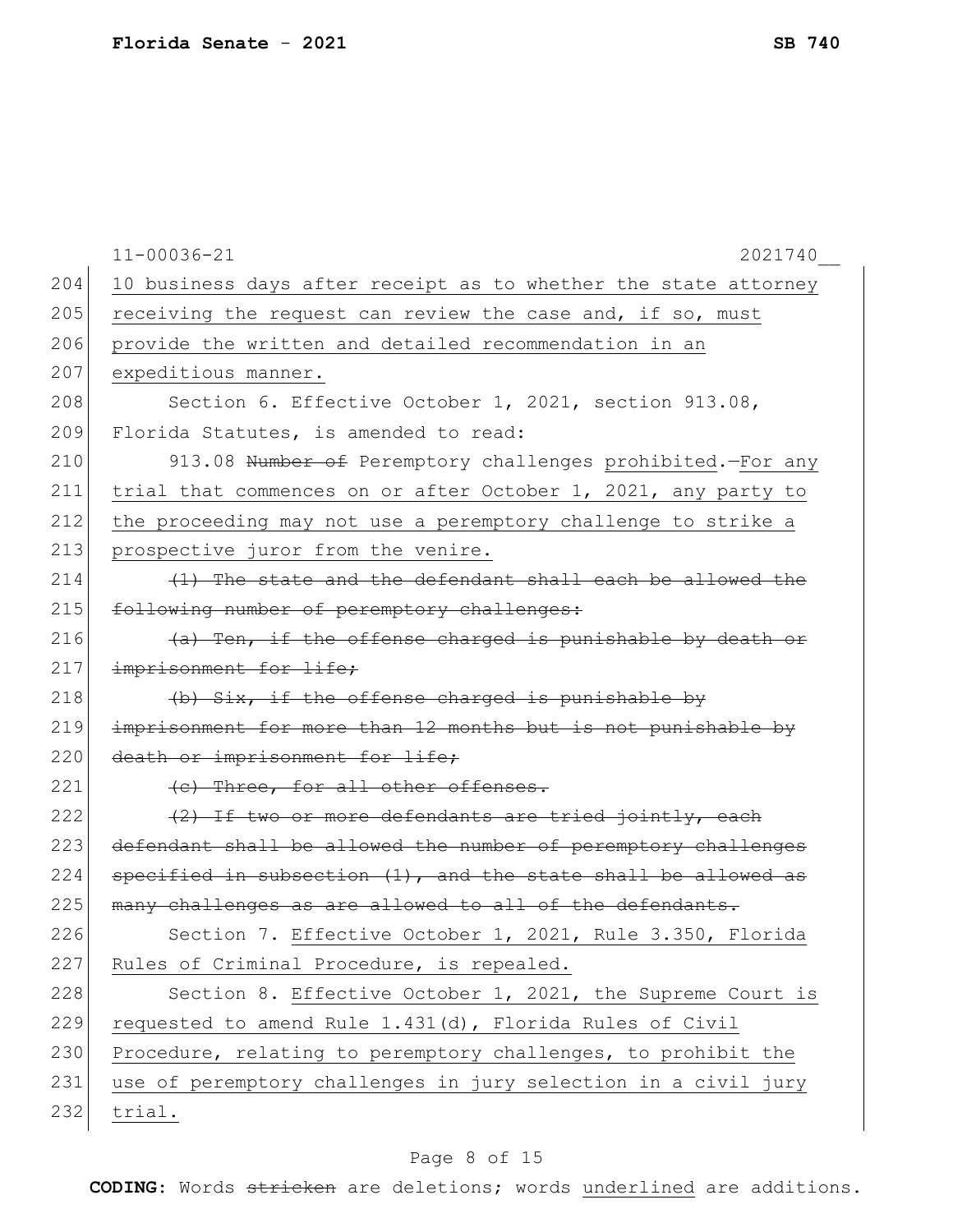|     | $11 - 00036 - 21$<br>2021740                                      |
|-----|-------------------------------------------------------------------|
| 204 | 10 business days after receipt as to whether the state attorney   |
| 205 | receiving the request can review the case and, if so, must        |
| 206 | provide the written and detailed recommendation in an             |
| 207 | expeditious manner.                                               |
| 208 | Section 6. Effective October 1, 2021, section 913.08,             |
| 209 | Florida Statutes, is amended to read:                             |
| 210 | 913.08 Number of Peremptory challenges prohibited.-For any        |
| 211 | trial that commences on or after October 1, 2021, any party to    |
| 212 | the proceeding may not use a peremptory challenge to strike a     |
| 213 | prospective juror from the venire.                                |
| 214 | (1) The state and the defendant shall each be allowed the         |
| 215 | following number of peremptory challenges:                        |
| 216 | (a) Ten, if the offense charged is punishable by death or         |
| 217 | imprisonment for life;                                            |
| 218 | (b) Six, if the offense charged is punishable by                  |
| 219 | imprisonment for more than 12 months but is not punishable by     |
| 220 | death or imprisonment for life;                                   |
| 221 | (e) Three, for all other offenses.                                |
| 222 | (2) If two or more defendants are tried jointly, each             |
| 223 | defendant shall be allowed the number of peremptory challenges    |
| 224 | $spectfied in subsection (1)$ , and the state shall be allowed as |
| 225 | many challenges as are allowed to all of the defendants.          |
| 226 | Section 7. Effective October 1, 2021, Rule 3.350, Florida         |
| 227 | Rules of Criminal Procedure, is repealed.                         |
| 228 | Section 8. Effective October 1, 2021, the Supreme Court is        |
| 229 | requested to amend Rule 1.431(d), Florida Rules of Civil          |
| 230 | Procedure, relating to peremptory challenges, to prohibit the     |
| 231 | use of peremptory challenges in jury selection in a civil jury    |
| 232 | trial.                                                            |
|     |                                                                   |

# Page 8 of 15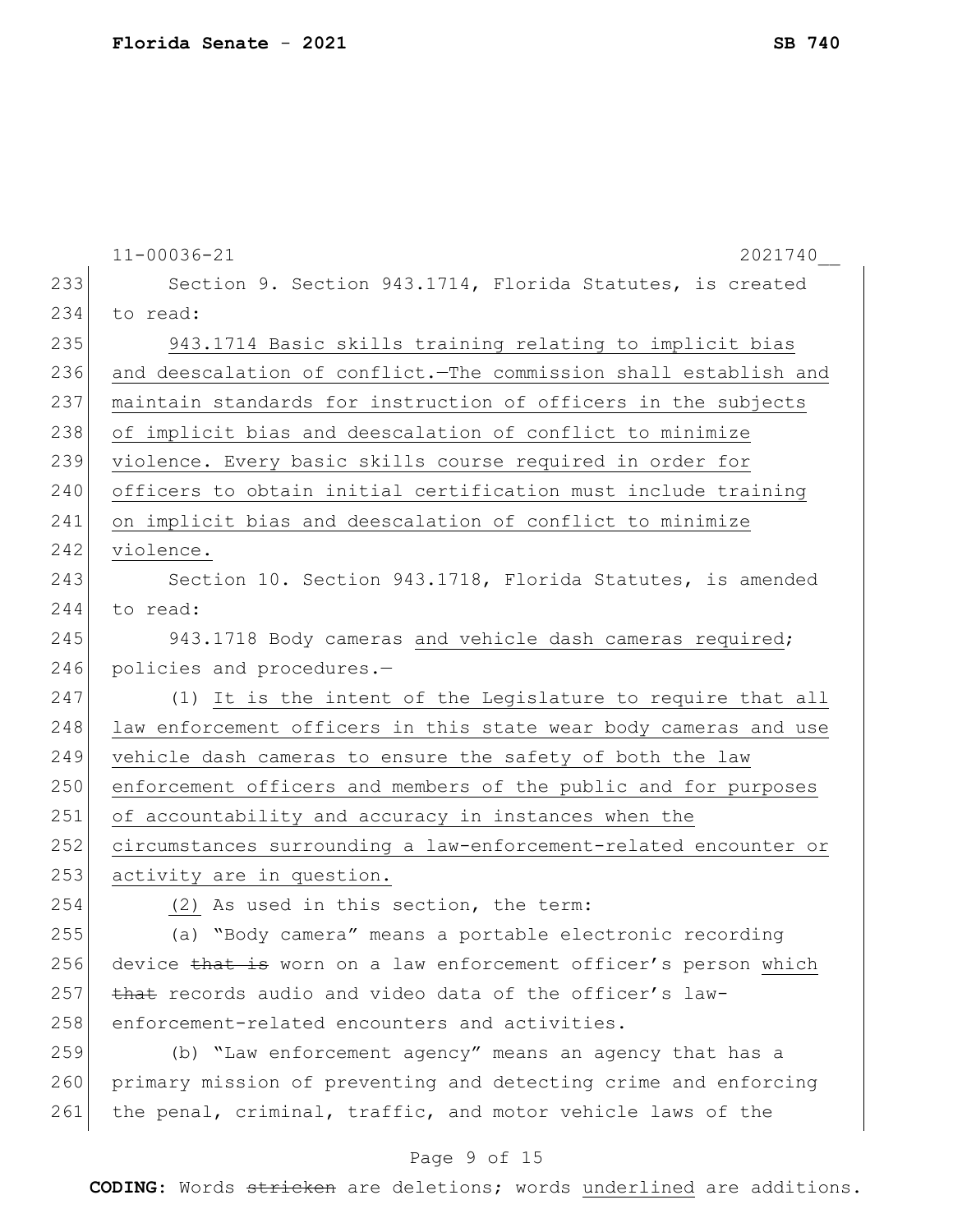|     | $11 - 00036 - 21$<br>2021740                                     |
|-----|------------------------------------------------------------------|
| 233 | Section 9. Section 943.1714, Florida Statutes, is created        |
| 234 | to read:                                                         |
| 235 | 943.1714 Basic skills training relating to implicit bias         |
| 236 | and deescalation of conflict. The commission shall establish and |
| 237 | maintain standards for instruction of officers in the subjects   |
| 238 | of implicit bias and deescalation of conflict to minimize        |
| 239 | violence. Every basic skills course required in order for        |
| 240 | officers to obtain initial certification must include training   |
| 241 | on implicit bias and deescalation of conflict to minimize        |
| 242 | violence.                                                        |
| 243 | Section 10. Section 943.1718, Florida Statutes, is amended       |
| 244 | to read:                                                         |
| 245 | 943.1718 Body cameras and vehicle dash cameras required;         |
| 246 | policies and procedures.-                                        |
| 247 | (1) It is the intent of the Legislature to require that all      |
| 248 | law enforcement officers in this state wear body cameras and use |
| 249 | vehicle dash cameras to ensure the safety of both the law        |
| 250 | enforcement officers and members of the public and for purposes  |
| 251 | of accountability and accuracy in instances when the             |
| 252 | circumstances surrounding a law-enforcement-related encounter or |
| 253 | activity are in question.                                        |
| 254 | (2) As used in this section, the term:                           |
| 255 | (a) "Body camera" means a portable electronic recording          |
| 256 | device that is worn on a law enforcement officer's person which  |
| 257 | that records audio and video data of the officer's law-          |
| 258 | enforcement-related encounters and activities.                   |
| 259 | (b) "Law enforcement agency" means an agency that has a          |
| 260 | primary mission of preventing and detecting crime and enforcing  |
| 261 | the penal, criminal, traffic, and motor vehicle laws of the      |
|     |                                                                  |

# Page 9 of 15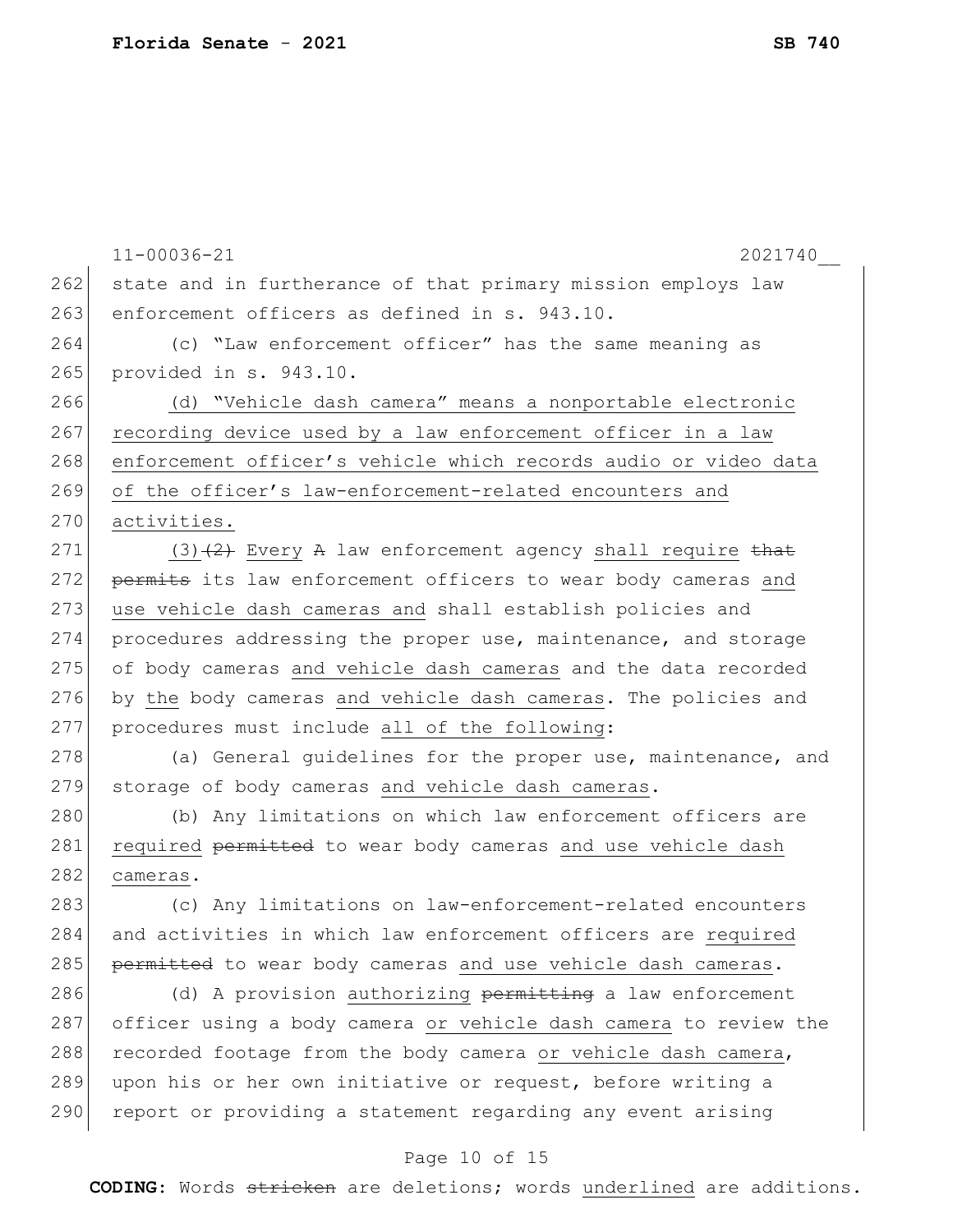11-00036-21 2021740\_\_ 262 state and in furtherance of that primary mission employs law 263 enforcement officers as defined in s. 943.10. 264 (c) "Law enforcement officer" has the same meaning as 265 provided in s. 943.10. 266 (d) "Vehicle dash camera" means a nonportable electronic 267 recording device used by a law enforcement officer in a law 268 enforcement officer's vehicle which records audio or video data 269 of the officer's law-enforcement-related encounters and 270 activities. 271 (3) $(2)$  Every A law enforcement agency shall require that 272 permits its law enforcement officers to wear body cameras and 273 use vehicle dash cameras and shall establish policies and 274 procedures addressing the proper use, maintenance, and storage 275 of body cameras and vehicle dash cameras and the data recorded 276 by the body cameras and vehicle dash cameras. The policies and 277 procedures must include all of the following: 278 (a) General guidelines for the proper use, maintenance, and 279 storage of body cameras and vehicle dash cameras. 280 (b) Any limitations on which law enforcement officers are 281 required permitted to wear body cameras and use vehicle dash 282 cameras. 283 (c) Any limitations on law-enforcement-related encounters 284 and activities in which law enforcement officers are required 285 permitted to wear body cameras and use vehicle dash cameras. 286 (d) A provision authorizing permitting a law enforcement 287 officer using a body camera or vehicle dash camera to review the 288 recorded footage from the body camera or vehicle dash camera, 289 upon his or her own initiative or request, before writing a 290 report or providing a statement regarding any event arising

## Page 10 of 15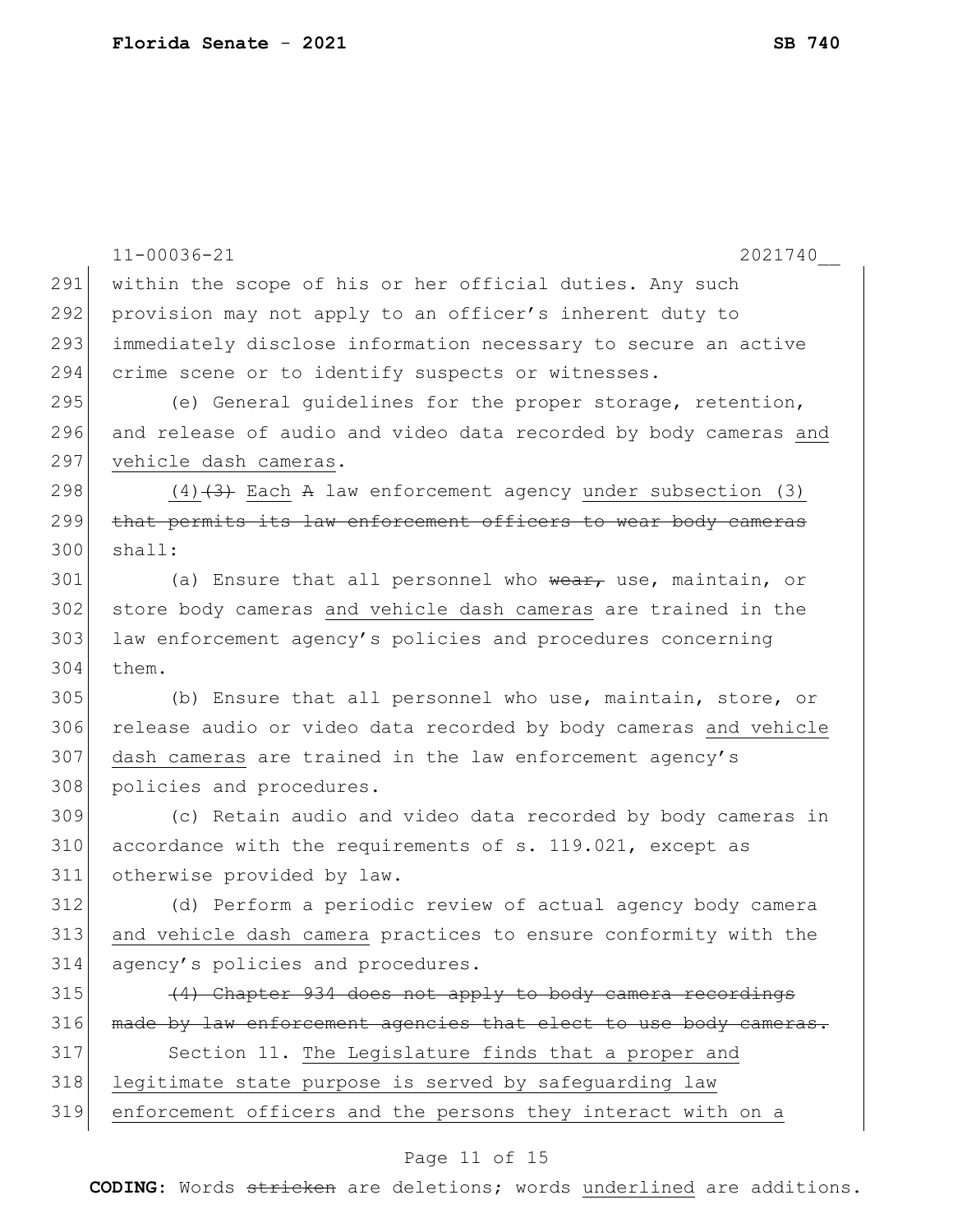|     | 2021740<br>$11 - 00036 - 21$                                     |
|-----|------------------------------------------------------------------|
| 291 | within the scope of his or her official duties. Any such         |
| 292 | provision may not apply to an officer's inherent duty to         |
| 293 | immediately disclose information necessary to secure an active   |
| 294 | crime scene or to identify suspects or witnesses.                |
| 295 | (e) General quidelines for the proper storage, retention,        |
| 296 | and release of audio and video data recorded by body cameras and |
| 297 | vehicle dash cameras.                                            |
| 298 | $(4)$ $(3)$ Each A law enforcement agency under subsection (3)   |
| 299 | that permits its law enforcement officers to wear body cameras   |
| 300 | shall:                                                           |
| 301 | (a) Ensure that all personnel who wear, use, maintain, or        |
| 302 | store body cameras and vehicle dash cameras are trained in the   |
| 303 | law enforcement agency's policies and procedures concerning      |
| 304 | them.                                                            |
| 305 | (b) Ensure that all personnel who use, maintain, store, or       |
| 306 | release audio or video data recorded by body cameras and vehicle |
| 307 | dash cameras are trained in the law enforcement agency's         |
| 308 | policies and procedures.                                         |
| 309 | (c) Retain audio and video data recorded by body cameras in      |
| 310 | accordance with the requirements of s. 119.021, except as        |
| 311 | otherwise provided by law.                                       |
| 312 | (d) Perform a periodic review of actual agency body camera       |
| 313 | and vehicle dash camera practices to ensure conformity with the  |
| 314 | agency's policies and procedures.                                |
| 315 | (4) Chapter 934 does not apply to body camera recordings         |
| 316 | made by law enforcement agencies that elect to use body cameras. |
| 317 | Section 11. The Legislature finds that a proper and              |
| 318 | legitimate state purpose is served by safeguarding law           |
| 319 | enforcement officers and the persons they interact with on a     |
|     |                                                                  |

# Page 11 of 15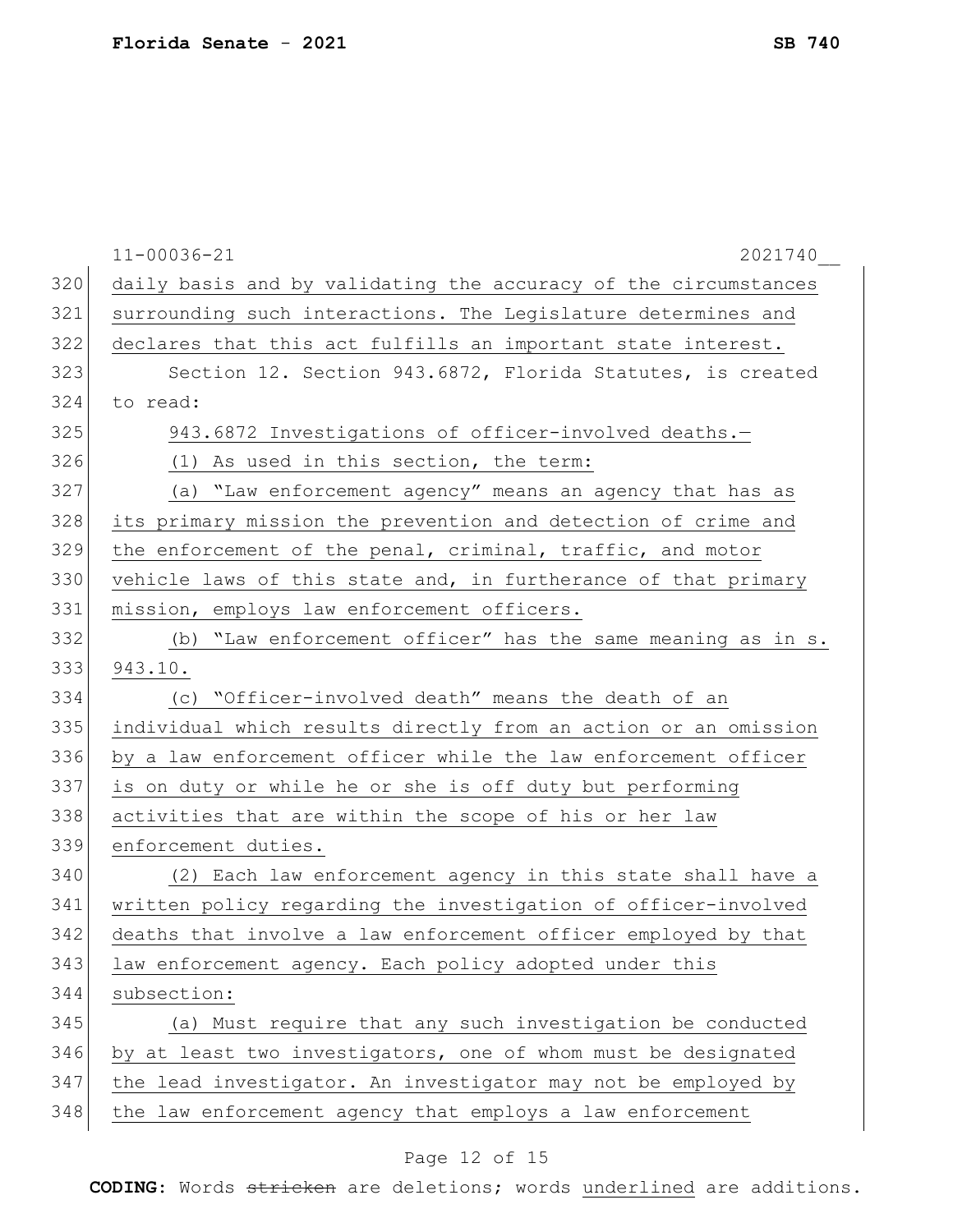|     | $11 - 00036 - 21$<br>2021740                                    |
|-----|-----------------------------------------------------------------|
| 320 | daily basis and by validating the accuracy of the circumstances |
| 321 | surrounding such interactions. The Legislature determines and   |
| 322 | declares that this act fulfills an important state interest.    |
| 323 | Section 12. Section 943.6872, Florida Statutes, is created      |
| 324 | to read:                                                        |
| 325 | 943.6872 Investigations of officer-involved deaths.-            |
| 326 | (1) As used in this section, the term:                          |
| 327 | (a) "Law enforcement agency" means an agency that has as        |
| 328 | its primary mission the prevention and detection of crime and   |
| 329 | the enforcement of the penal, criminal, traffic, and motor      |
| 330 | vehicle laws of this state and, in furtherance of that primary  |
| 331 | mission, employs law enforcement officers.                      |
| 332 | (b) "Law enforcement officer" has the same meaning as in s.     |
| 333 | 943.10.                                                         |
| 334 | (c) "Officer-involved death" means the death of an              |
| 335 | individual which results directly from an action or an omission |
| 336 | by a law enforcement officer while the law enforcement officer  |
| 337 | is on duty or while he or she is off duty but performing        |
| 338 | activities that are within the scope of his or her law          |
| 339 | enforcement duties.                                             |
| 340 | (2) Each law enforcement agency in this state shall have a      |
| 341 | written policy regarding the investigation of officer-involved  |
| 342 | deaths that involve a law enforcement officer employed by that  |
| 343 | law enforcement agency. Each policy adopted under this          |
| 344 | subsection:                                                     |
| 345 | (a) Must require that any such investigation be conducted       |
| 346 | by at least two investigators, one of whom must be designated   |
| 347 | the lead investigator. An investigator may not be employed by   |
| 348 | the law enforcement agency that employs a law enforcement       |

# Page 12 of 15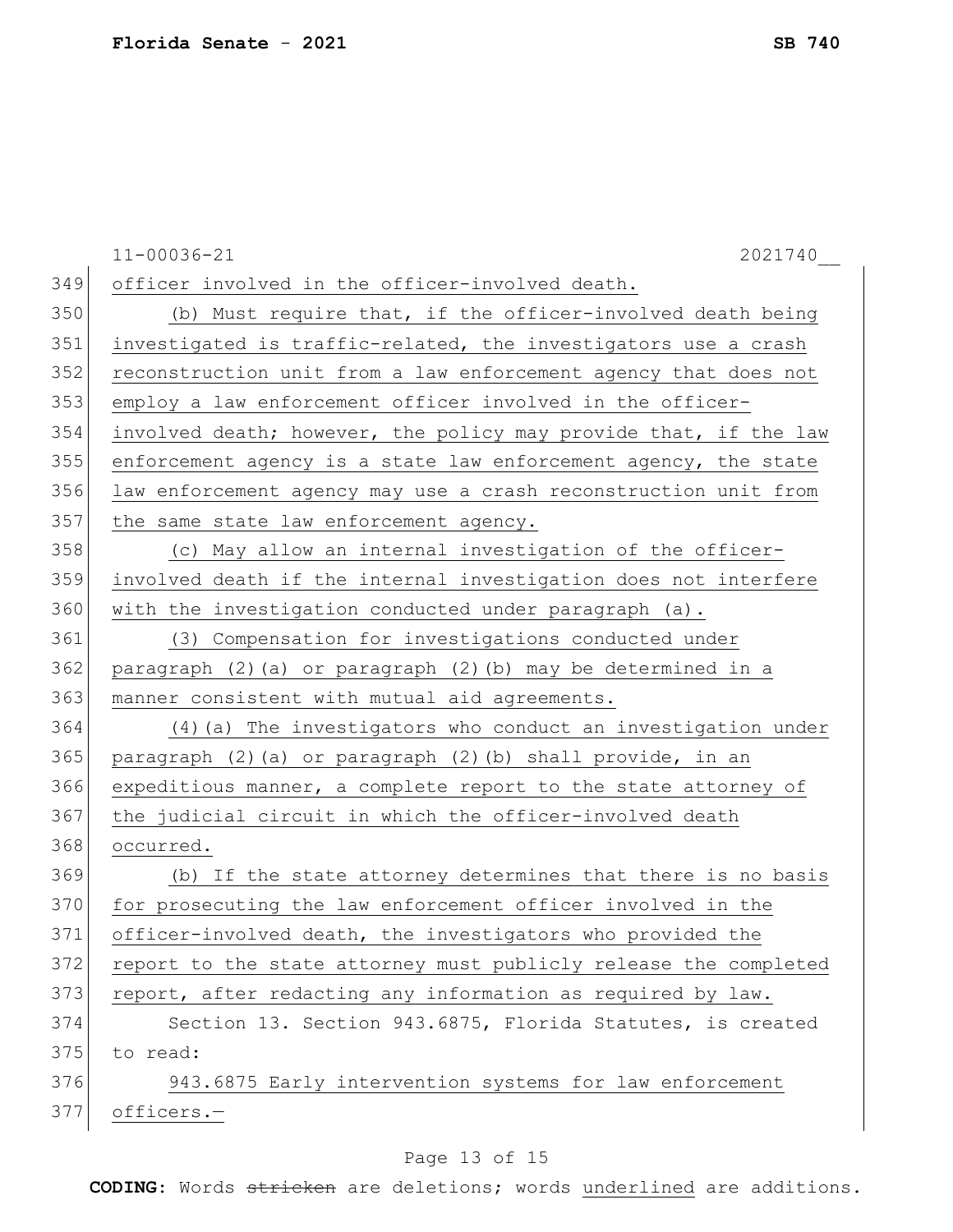|     | $11 - 00036 - 21$<br>2021740                                      |
|-----|-------------------------------------------------------------------|
| 349 | officer involved in the officer-involved death.                   |
| 350 | (b) Must require that, if the officer-involved death being        |
| 351 | investigated is traffic-related, the investigators use a crash    |
| 352 | reconstruction unit from a law enforcement agency that does not   |
| 353 | employ a law enforcement officer involved in the officer-         |
| 354 | involved death; however, the policy may provide that, if the law  |
| 355 | enforcement agency is a state law enforcement agency, the state   |
| 356 | law enforcement agency may use a crash reconstruction unit from   |
| 357 | the same state law enforcement agency.                            |
| 358 | (c) May allow an internal investigation of the officer-           |
| 359 | involved death if the internal investigation does not interfere   |
| 360 | with the investigation conducted under paragraph (a).             |
| 361 | (3) Compensation for investigations conducted under               |
| 362 | paragraph $(2)$ (a) or paragraph $(2)$ (b) may be determined in a |
| 363 | manner consistent with mutual aid agreements.                     |
| 364 | (4) (a) The investigators who conduct an investigation under      |
| 365 | paragraph (2)(a) or paragraph (2)(b) shall provide, in an         |
| 366 | expeditious manner, a complete report to the state attorney of    |
| 367 | the judicial circuit in which the officer-involved death          |
| 368 | occurred.                                                         |
| 369 | (b) If the state attorney determines that there is no basis       |
| 370 | for prosecuting the law enforcement officer involved in the       |
| 371 | officer-involved death, the investigators who provided the        |
| 372 | report to the state attorney must publicly release the completed  |
| 373 | report, after redacting any information as required by law.       |
| 374 | Section 13. Section 943.6875, Florida Statutes, is created        |
| 375 | to read:                                                          |
| 376 | 943.6875 Early intervention systems for law enforcement           |
| 377 | officers.-                                                        |
|     |                                                                   |

# Page 13 of 15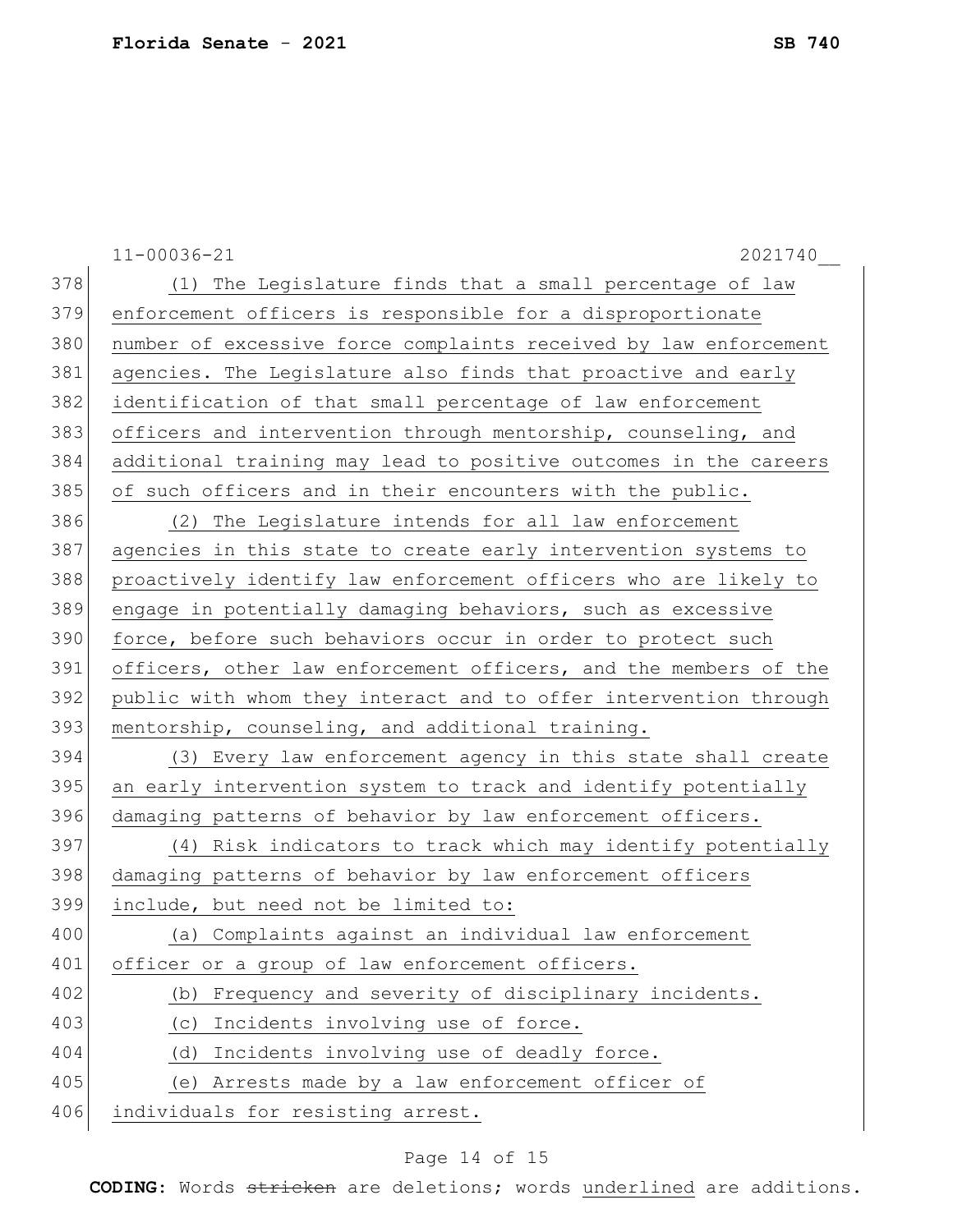|     | $11 - 00036 - 21$<br>2021740                                     |
|-----|------------------------------------------------------------------|
| 378 | (1) The Legislature finds that a small percentage of law         |
| 379 | enforcement officers is responsible for a disproportionate       |
| 380 | number of excessive force complaints received by law enforcement |
| 381 | agencies. The Legislature also finds that proactive and early    |
| 382 | identification of that small percentage of law enforcement       |
| 383 | officers and intervention through mentorship, counseling, and    |
| 384 | additional training may lead to positive outcomes in the careers |
| 385 | of such officers and in their encounters with the public.        |
| 386 | (2) The Legislature intends for all law enforcement              |
| 387 | agencies in this state to create early intervention systems to   |
| 388 | proactively identify law enforcement officers who are likely to  |
| 389 | engage in potentially damaging behaviors, such as excessive      |
| 390 | force, before such behaviors occur in order to protect such      |
| 391 | officers, other law enforcement officers, and the members of the |
| 392 | public with whom they interact and to offer intervention through |
| 393 | mentorship, counseling, and additional training.                 |
| 394 | (3) Every law enforcement agency in this state shall create      |
| 395 | an early intervention system to track and identify potentially   |
| 396 | damaging patterns of behavior by law enforcement officers.       |
| 397 | (4) Risk indicators to track which may identify potentially      |
| 398 | damaging patterns of behavior by law enforcement officers        |
| 399 | include, but need not be limited to:                             |
| 400 | (a) Complaints against an individual law enforcement             |
| 401 | officer or a group of law enforcement officers.                  |
| 402 | Frequency and severity of disciplinary incidents.<br>(b)         |
| 403 | (c) Incidents involving use of force.                            |
| 404 | (d) Incidents involving use of deadly force.                     |
| 405 | (e) Arrests made by a law enforcement officer of                 |
| 406 | individuals for resisting arrest.                                |

# Page 14 of 15